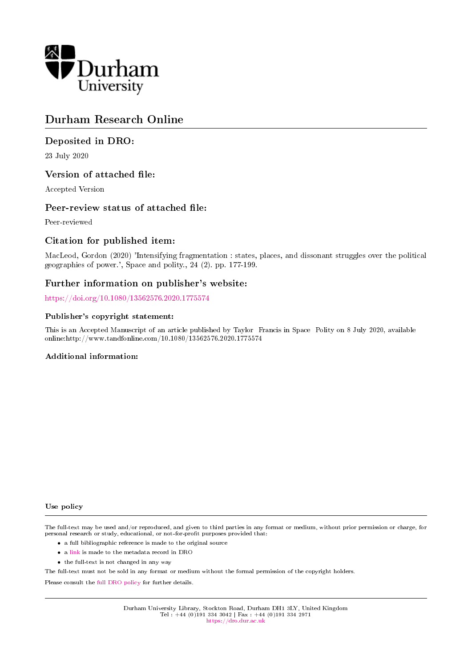

# Durham Research Online

## Deposited in DRO:

23 July 2020

## Version of attached file:

Accepted Version

### Peer-review status of attached file:

Peer-reviewed

## Citation for published item:

MacLeod, Gordon (2020) 'Intensifying fragmentation : states, places, and dissonant struggles over the political geographies of power.', Space and polity., 24 (2). pp. 177-199.

## Further information on publisher's website:

<https://doi.org/10.1080/13562576.2020.1775574>

#### Publisher's copyright statement:

This is an Accepted Manuscript of an article published by Taylor Francis in Space Polity on 8 July 2020, available online:http://www.tandfonline.com/10.1080/13562576.2020.1775574

#### Additional information:

#### Use policy

The full-text may be used and/or reproduced, and given to third parties in any format or medium, without prior permission or charge, for personal research or study, educational, or not-for-profit purposes provided that:

- a full bibliographic reference is made to the original source
- a [link](http://dro.dur.ac.uk/31354/) is made to the metadata record in DRO
- the full-text is not changed in any way

The full-text must not be sold in any format or medium without the formal permission of the copyright holders.

Please consult the [full DRO policy](https://dro.dur.ac.uk/policies/usepolicy.pdf) for further details.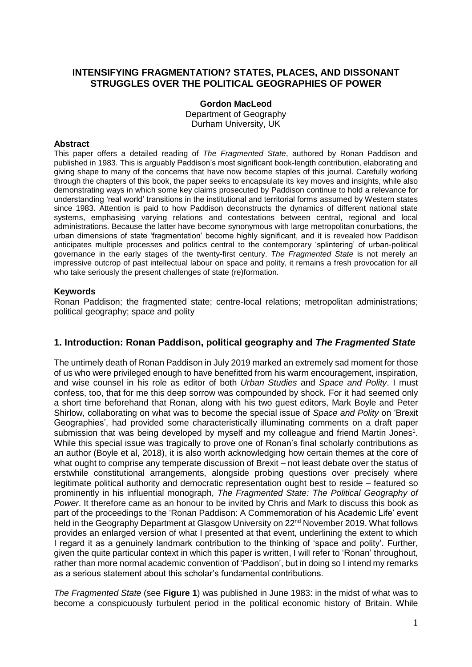## **INTENSIFYING FRAGMENTATION? STATES, PLACES, AND DISSONANT STRUGGLES OVER THE POLITICAL GEOGRAPHIES OF POWER**

### **Gordon MacLeod** Department of Geography Durham University, UK

## **Abstract**

This paper offers a detailed reading of *The Fragmented State*, authored by Ronan Paddison and published in 1983. This is arguably Paddison's most significant book-length contribution, elaborating and giving shape to many of the concerns that have now become staples of this journal. Carefully working through the chapters of this book, the paper seeks to encapsulate its key moves and insights, while also demonstrating ways in which some key claims prosecuted by Paddison continue to hold a relevance for understanding 'real world' transitions in the institutional and territorial forms assumed by Western states since 1983. Attention is paid to how Paddison deconstructs the dynamics of different national state systems, emphasising varying relations and contestations between central, regional and local administrations. Because the latter have become synonymous with large metropolitan conurbations, the urban dimensions of state 'fragmentation' become highly significant, and it is revealed how Paddison anticipates multiple processes and politics central to the contemporary 'splintering' of urban-political governance in the early stages of the twenty-first century. *The Fragmented State* is not merely an impressive outcrop of past intellectual labour on space and polity, it remains a fresh provocation for all who take seriously the present challenges of state (re)formation.

### **Keywords**

Ronan Paddison; the fragmented state; centre-local relations; metropolitan administrations; political geography; space and polity

## **1. Introduction: Ronan Paddison, political geography and** *The Fragmented State*

The untimely death of Ronan Paddison in July 2019 marked an extremely sad moment for those of us who were privileged enough to have benefitted from his warm encouragement, inspiration, and wise counsel in his role as editor of both *Urban Studies* and *Space and Polity*. I must confess, too, that for me this deep sorrow was compounded by shock. For it had seemed only a short time beforehand that Ronan, along with his two guest editors, Mark Boyle and Peter Shirlow, collaborating on what was to become the special issue of *Space and Polity* on 'Brexit Geographies', had provided some characteristically illuminating comments on a draft paper submission that was being developed by myself and my colleague and friend Martin Jones<sup>1</sup>. While this special issue was tragically to prove one of Ronan's final scholarly contributions as an author (Boyle et al, 2018), it is also worth acknowledging how certain themes at the core of what ought to comprise any temperate discussion of Brexit – not least debate over the status of erstwhile constitutional arrangements, alongside probing questions over precisely where legitimate political authority and democratic representation ought best to reside – featured so prominently in his influential monograph, *The Fragmented State: The Political Geography of Power*. It therefore came as an honour to be invited by Chris and Mark to discuss this book as part of the proceedings to the 'Ronan Paddison: A Commemoration of his Academic Life' event held in the Geography Department at Glasgow University on 22<sup>nd</sup> November 2019. What follows provides an enlarged version of what I presented at that event, underlining the extent to which I regard it as a genuinely landmark contribution to the thinking of 'space and polity'. Further, given the quite particular context in which this paper is written, I will refer to 'Ronan' throughout, rather than more normal academic convention of 'Paddison', but in doing so I intend my remarks as a serious statement about this scholar's fundamental contributions.

*The Fragmented State* (see **Figure 1**) was published in June 1983: in the midst of what was to become a conspicuously turbulent period in the political economic history of Britain. While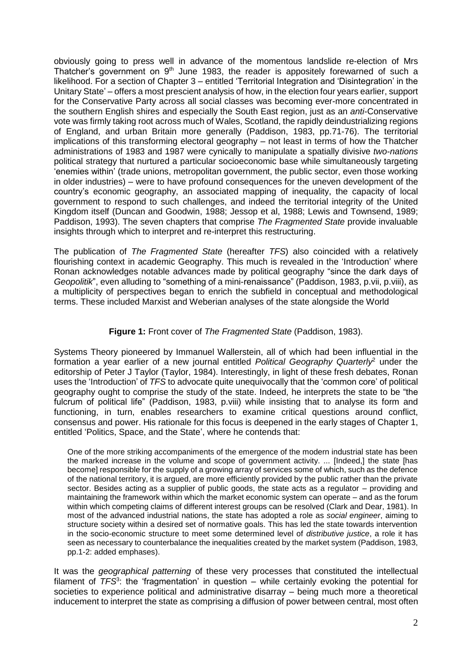obviously going to press well in advance of the momentous landslide re-election of Mrs Thatcher's government on 9<sup>th</sup> June 1983, the reader is appositely forewarned of such a likelihood. For a section of Chapter 3 – entitled 'Territorial Integration and 'Disintegration' in the Unitary State' – offers a most prescient analysis of how, in the election four years earlier, support for the Conservative Party across all social classes was becoming ever-more concentrated in the southern English shires and especially the South East region, just as an *anti*-Conservative vote was firmly taking root across much of Wales, Scotland, the rapidly deindustrializing regions of England, and urban Britain more generally (Paddison, 1983, pp.71-76). The territorial implications of this transforming electoral geography – not least in terms of how the Thatcher administrations of 1983 and 1987 were cynically to manipulate a spatially divisive *two-nations* political strategy that nurtured a particular socioeconomic base while simultaneously targeting 'enemies within' (trade unions, metropolitan government, the public sector, even those working in older industries) – were to have profound consequences for the uneven development of the country's economic geography, an associated mapping of inequality, the capacity of local government to respond to such challenges, and indeed the territorial integrity of the United Kingdom itself (Duncan and Goodwin, 1988; Jessop et al, 1988; Lewis and Townsend, 1989; Paddison, 1993). The seven chapters that comprise *The Fragmented State* provide invaluable insights through which to interpret and re-interpret this restructuring.

The publication of *The Fragmented State* (hereafter *TFS*) also coincided with a relatively flourishing context in academic Geography. This much is revealed in the 'Introduction' where Ronan acknowledges notable advances made by political geography "since the dark days of *Geopolitik*", even alluding to "something of a mini-renaissance" (Paddison, 1983, p.vii, p.viii), as a multiplicity of perspectives began to enrich the subfield in conceptual and methodological terms. These included Marxist and Weberian analyses of the state alongside the World

## **Figure 1:** Front cover of *The Fragmented State* (Paddison, 1983).

Systems Theory pioneered by Immanuel Wallerstein, all of which had been influential in the formation a year earlier of a new journal entitled *Political Geography Quarterly*<sup>2</sup> under the editorship of Peter J Taylor (Taylor, 1984). Interestingly, in light of these fresh debates, Ronan uses the 'Introduction' of *TFS* to advocate quite unequivocally that the 'common core' of political geography ought to comprise the study of the state. Indeed, he interprets the state to be "the fulcrum of political life" (Paddison, 1983, p.viii) while insisting that to analyse its form and functioning, in turn, enables researchers to examine critical questions around conflict, consensus and power. His rationale for this focus is deepened in the early stages of Chapter 1, entitled 'Politics, Space, and the State', where he contends that:

One of the more striking accompaniments of the emergence of the modern industrial state has been the marked increase in the volume and scope of government activity. ... [Indeed,] the state [has become] responsible for the supply of a growing array of services some of which, such as the defence of the national territory, it is argued, are more efficiently provided by the public rather than the private sector. Besides acting as a supplier of public goods, the state acts as a regulator – providing and maintaining the framework within which the market economic system can operate – and as the forum within which competing claims of different interest groups can be resolved (Clark and Dear, 1981). In most of the advanced industrial nations, the state has adopted a role as *social engineer*, aiming to structure society within a desired set of normative goals. This has led the state towards intervention in the socio-economic structure to meet some determined level of *distributive justice*, a role it has seen as necessary to counterbalance the inequalities created by the market system (Paddison, 1983, pp.1-2: added emphases).

It was the *geographical patterning* of these very processes that constituted the intellectual filament of *TFS*<sup>3</sup>: the 'fragmentation' in question – while certainly evoking the potential for societies to experience political and administrative disarray – being much more a theoretical inducement to interpret the state as comprising a diffusion of power between central, most often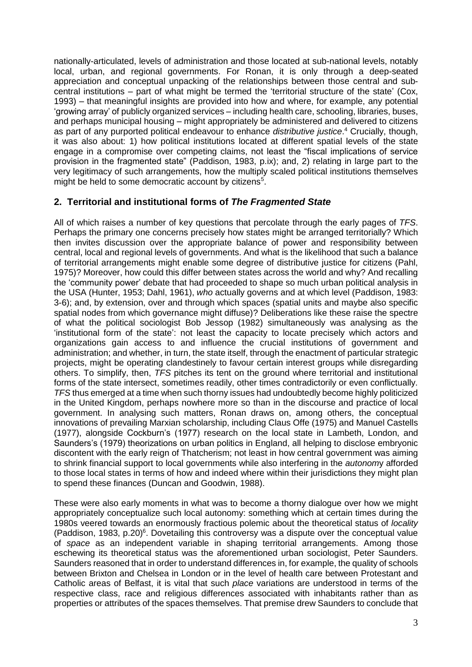nationally-articulated, levels of administration and those located at sub-national levels, notably local, urban, and regional governments. For Ronan, it is only through a deep-seated appreciation and conceptual unpacking of the relationships between those central and subcentral institutions – part of what might be termed the 'territorial structure of the state' (Cox, 1993) – that meaningful insights are provided into how and where, for example, any potential 'growing array' of publicly organized services – including health care, schooling, libraries, buses, and perhaps municipal housing – might appropriately be administered and delivered to citizens as part of any purported political endeavour to enhance *distributive justice*. <sup>4</sup> Crucially, though, it was also about: 1) how political institutions located at different spatial levels of the state engage in a compromise over competing claims, not least the "fiscal implications of service provision in the fragmented state" (Paddison, 1983, p.ix); and, 2) relating in large part to the very legitimacy of such arrangements, how the multiply scaled political institutions themselves might be held to some democratic account by citizens<sup>5</sup>.

## **2. Territorial and institutional forms of** *The Fragmented State*

All of which raises a number of key questions that percolate through the early pages of *TFS*. Perhaps the primary one concerns precisely how states might be arranged territorially? Which then invites discussion over the appropriate balance of power and responsibility between central, local and regional levels of governments. And what is the likelihood that such a balance of territorial arrangements might enable some degree of distributive justice for citizens (Pahl, 1975)? Moreover, how could this differ between states across the world and why? And recalling the 'community power' debate that had proceeded to shape so much urban political analysis in the USA (Hunter, 1953; Dahl, 1961), *who* actually governs and at which level (Paddison, 1983: 3-6); and, by extension, over and through which spaces (spatial units and maybe also specific spatial nodes from which governance might diffuse)? Deliberations like these raise the spectre of what the political sociologist Bob Jessop (1982) simultaneously was analysing as the 'institutional form of the state': not least the capacity to locate precisely which actors and organizations gain access to and influence the crucial institutions of government and administration; and whether, in turn, the state itself, through the enactment of particular strategic projects, might be operating clandestinely to favour certain interest groups while disregarding others. To simplify, then, *TFS* pitches its tent on the ground where territorial and institutional forms of the state intersect, sometimes readily, other times contradictorily or even conflictually. *TFS* thus emerged at a time when such thorny issues had undoubtedly become highly politicized in the United Kingdom, perhaps nowhere more so than in the discourse and practice of local government. In analysing such matters, Ronan draws on, among others, the conceptual innovations of prevailing Marxian scholarship, including Claus Offe (1975) and Manuel Castells (1977), alongside Cockburn's (1977) research on the local state in Lambeth, London, and Saunders's (1979) theorizations on urban politics in England, all helping to disclose embryonic discontent with the early reign of Thatcherism; not least in how central government was aiming to shrink financial support to local governments while also interfering in the *autonom*y afforded to those local states in terms of how and indeed where within their jurisdictions they might plan to spend these finances (Duncan and Goodwin, 1988).

These were also early moments in what was to become a thorny dialogue over how we might appropriately conceptualize such local autonomy: something which at certain times during the 1980s veered towards an enormously fractious polemic about the theoretical status of *locality* (Paddison, 1983, p.20)<sup>6</sup>. Dovetailing this controversy was a dispute over the conceptual value of *space* as an independent variable in shaping territorial arrangements. Among those eschewing its theoretical status was the aforementioned urban sociologist, Peter Saunders. Saunders reasoned that in order to understand differences in, for example, the quality of schools between Brixton and Chelsea in London or in the level of health care between Protestant and Catholic areas of Belfast, it is vital that such *place* variations are understood in terms of the respective class, race and religious differences associated with inhabitants rather than as properties or attributes of the spaces themselves. That premise drew Saunders to conclude that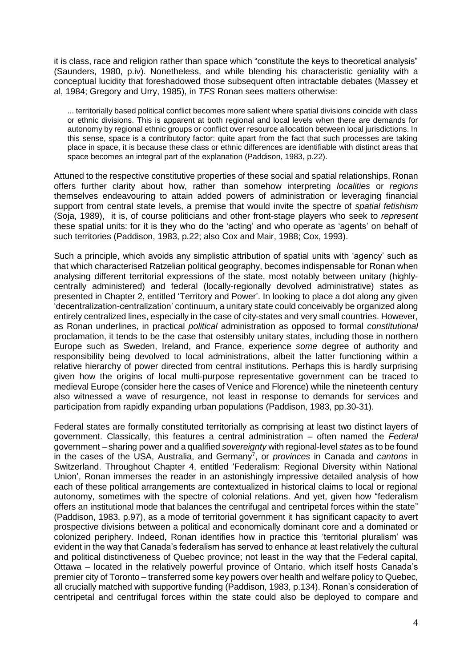it is class, race and religion rather than space which "constitute the keys to theoretical analysis" (Saunders, 1980, p.iv). Nonetheless, and while blending his characteristic geniality with a conceptual lucidity that foreshadowed those subsequent often intractable debates (Massey et al, 1984; Gregory and Urry, 1985), in *TFS* Ronan sees matters otherwise:

... territorially based political conflict becomes more salient where spatial divisions coincide with class or ethnic divisions. This is apparent at both regional and local levels when there are demands for autonomy by regional ethnic groups or conflict over resource allocation between local jurisdictions. In this sense, space is a contributory factor: quite apart from the fact that such processes are taking place in space, it is because these class or ethnic differences are identifiable with distinct areas that space becomes an integral part of the explanation (Paddison, 1983, p.22).

Attuned to the respective constitutive properties of these social and spatial relationships, Ronan offers further clarity about how, rather than somehow interpreting *localities* or *regions* themselves endeavouring to attain added powers of administration or leveraging financial support from central state levels, a premise that would invite the spectre of *spatial fetishism* (Soja, 1989), it is, of course politicians and other front-stage players who seek to *represent* these spatial units: for it is they who do the 'acting' and who operate as 'agents' on behalf of such territories (Paddison, 1983, p.22; also Cox and Mair, 1988; Cox, 1993).

Such a principle, which avoids any simplistic attribution of spatial units with 'agency' such as that which characterised Ratzelian political geography, becomes indispensable for Ronan when analysing different territorial expressions of the state, most notably between unitary (highlycentrally administered) and federal (locally-regionally devolved administrative) states as presented in Chapter 2, entitled 'Territory and Power'. In looking to place a dot along any given 'decentralization-centralization' continuum, a unitary state could conceivably be organized along entirely centralized lines, especially in the case of city-states and very small countries. However, as Ronan underlines, in practical *political* administration as opposed to formal *constitutional* proclamation, it tends to be the case that ostensibly unitary states, including those in northern Europe such as Sweden, Ireland, and France, experience *some* degree of authority and responsibility being devolved to local administrations, albeit the latter functioning within a relative hierarchy of power directed from central institutions. Perhaps this is hardly surprising given how the origins of local multi-purpose representative government can be traced to medieval Europe (consider here the cases of Venice and Florence) while the nineteenth century also witnessed a wave of resurgence, not least in response to demands for services and participation from rapidly expanding urban populations (Paddison, 1983, pp.30-31).

Federal states are formally constituted territorially as comprising at least two distinct layers of government. Classically, this features a central administration – often named the *Federal* government – sharing power and a qualified *sovereignty* with regional-level *states* as to be found in the cases of the USA, Australia, and Germany<sup>7</sup> , or *provinces* in Canada and *cantons* in Switzerland. Throughout Chapter 4, entitled 'Federalism: Regional Diversity within National Union', Ronan immerses the reader in an astonishingly impressive detailed analysis of how each of these political arrangements are contextualized in historical claims to local or regional autonomy, sometimes with the spectre of colonial relations. And yet, given how "federalism offers an institutional mode that balances the centrifugal and centripetal forces within the state" (Paddison, 1983, p.97), as a mode of territorial government it has significant capacity to avert prospective divisions between a political and economically dominant core and a dominated or colonized periphery. Indeed, Ronan identifies how in practice this 'territorial pluralism' was evident in the way that Canada's federalism has served to enhance at least relatively the cultural and political distinctiveness of Quebec province; not least in the way that the Federal capital, Ottawa – located in the relatively powerful province of Ontario, which itself hosts Canada's premier city of Toronto – transferred some key powers over health and welfare policy to Quebec, all crucially matched with supportive funding (Paddison, 1983, p.134). Ronan's consideration of centripetal and centrifugal forces within the state could also be deployed to compare and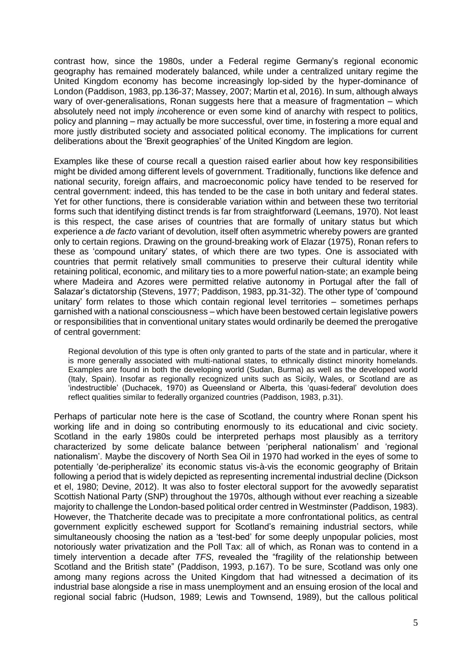contrast how, since the 1980s, under a Federal regime Germany's regional economic geography has remained moderately balanced, while under a centralized unitary regime the United Kingdom economy has become increasingly lop-sided by the hyper-dominance of London (Paddison, 1983, pp.136-37; Massey, 2007; Martin et al, 2016). In sum, although always wary of over-generalisations, Ronan suggests here that a measure of fragmentation – which absolutely need not imply *in*coherence or even some kind of anarchy with respect to politics, policy and planning – may actually be more successful, over time, in fostering a more equal and more justly distributed society and associated political economy. The implications for current deliberations about the 'Brexit geographies' of the United Kingdom are legion.

Examples like these of course recall a question raised earlier about how key responsibilities might be divided among different levels of government. Traditionally, functions like defence and national security, foreign affairs, and macroeconomic policy have tended to be reserved for central government: indeed, this has tended to be the case in both unitary and federal states. Yet for other functions, there is considerable variation within and between these two territorial forms such that identifying distinct trends is far from straightforward (Leemans, 1970). Not least is this respect, the case arises of countries that are formally of unitary status but which experience a *de facto* variant of devolution, itself often asymmetric whereby powers are granted only to certain regions. Drawing on the ground-breaking work of Elazar (1975), Ronan refers to these as 'compound unitary' states, of which there are two types. One is associated with countries that permit relatively small communities to preserve their cultural identity while retaining political, economic, and military ties to a more powerful nation-state; an example being where Madeira and Azores were permitted relative autonomy in Portugal after the fall of Salazar's dictatorship (Stevens, 1977; Paddison, 1983, pp.31-32). The other type of 'compound unitary' form relates to those which contain regional level territories – sometimes perhaps garnished with a national consciousness – which have been bestowed certain legislative powers or responsibilities that in conventional unitary states would ordinarily be deemed the prerogative of central government:

Regional devolution of this type is often only granted to parts of the state and in particular, where it is more generally associated with multi-national states, to ethnically distinct minority homelands. Examples are found in both the developing world (Sudan, Burma) as well as the developed world (Italy, Spain). Insofar as regionally recognized units such as Sicily, Wales, or Scotland are as 'indestructible' (Duchacek, 1970) as Queensland or Alberta, this 'quasi-federal' devolution does reflect qualities similar to federally organized countries (Paddison, 1983, p.31).

Perhaps of particular note here is the case of Scotland, the country where Ronan spent his working life and in doing so contributing enormously to its educational and civic society. Scotland in the early 1980s could be interpreted perhaps most plausibly as a territory characterized by some delicate balance between 'peripheral nationalism' and 'regional nationalism'. Maybe the discovery of North Sea Oil in 1970 had worked in the eyes of some to potentially 'de-peripheralize' its economic status vis-à-vis the economic geography of Britain following a period that is widely depicted as representing incremental industrial decline (Dickson et el, 1980; Devine, 2012). It was also to foster electoral support for the avowedly separatist Scottish National Party (SNP) throughout the 1970s, although without ever reaching a sizeable majority to challenge the London-based political order centred in Westminster (Paddison, 1983). However, the Thatcherite decade was to precipitate a more confrontational politics, as central government explicitly eschewed support for Scotland's remaining industrial sectors, while simultaneously choosing the nation as a 'test-bed' for some deeply unpopular policies, most notoriously water privatization and the Poll Tax: all of which, as Ronan was to contend in a timely intervention a decade after *TFS*, revealed the "fragility of the relationship between Scotland and the British state" (Paddison, 1993, p.167). To be sure, Scotland was only one among many regions across the United Kingdom that had witnessed a decimation of its industrial base alongside a rise in mass unemployment and an ensuing erosion of the local and regional social fabric (Hudson, 1989; Lewis and Townsend, 1989), but the callous political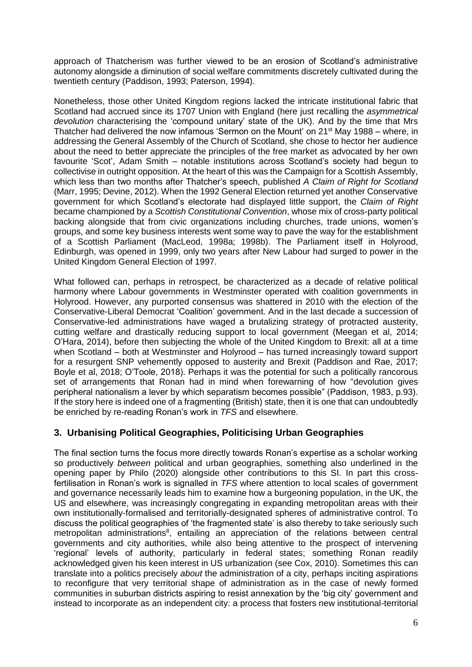approach of Thatcherism was further viewed to be an erosion of Scotland's administrative autonomy alongside a diminution of social welfare commitments discretely cultivated during the twentieth century (Paddison, 1993; Paterson, 1994).

Nonetheless, those other United Kingdom regions lacked the intricate institutional fabric that Scotland had accrued since its 1707 Union with England (here just recalling the *asymmetrical devolution* characterising the 'compound unitary' state of the UK). And by the time that Mrs Thatcher had delivered the now infamous 'Sermon on the Mount' on 21 $\mathrm{st}$  May 1988 – where, in addressing the General Assembly of the Church of Scotland, she chose to hector her audience about the need to better appreciate the principles of the free market as advocated by her own favourite 'Scot', Adam Smith – notable institutions across Scotland's society had begun to collectivise in outright opposition. At the heart of this was the Campaign for a Scottish Assembly, which less than two months after Thatcher's speech, published *A Claim of Right for Scotland* (Marr, 1995; Devine, 2012). When the 1992 General Election returned yet another Conservative government for which Scotland's electorate had displayed little support, the *Claim of Right* became championed by a *Scottish Constitutional Convention*, whose mix of cross-party political backing alongside that from civic organizations including churches, trade unions, women's groups, and some key business interests went some way to pave the way for the establishment of a Scottish Parliament (MacLeod, 1998a; 1998b). The Parliament itself in Holyrood, Edinburgh, was opened in 1999, only two years after New Labour had surged to power in the United Kingdom General Election of 1997.

What followed can, perhaps in retrospect, be characterized as a decade of relative political harmony where Labour governments in Westminster operated with coalition governments in Holyrood. However, any purported consensus was shattered in 2010 with the election of the Conservative-Liberal Democrat 'Coalition' government. And in the last decade a succession of Conservative-led administrations have waged a brutalizing strategy of protracted austerity, cutting welfare and drastically reducing support to local government (Meegan et al, 2014; O'Hara, 2014), before then subjecting the whole of the United Kingdom to Brexit: all at a time when Scotland – both at Westminster and Holyrood – has turned increasingly toward support for a resurgent SNP vehemently opposed to austerity and Brexit (Paddison and Rae, 2017; Boyle et al, 2018; O'Toole, 2018). Perhaps it was the potential for such a politically rancorous set of arrangements that Ronan had in mind when forewarning of how "devolution gives peripheral nationalism a lever by which separatism becomes possible" (Paddison, 1983, p.93). If the story here is indeed one of a fragmenting (British) state, then it is one that can undoubtedly be enriched by re-reading Ronan's work in *TFS* and elsewhere.

## **3. Urbanising Political Geographies, Politicising Urban Geographies**

The final section turns the focus more directly towards Ronan's expertise as a scholar working so productively *between* political and urban geographies, something also underlined in the opening paper by Philo (2020) alongside other contributions to this SI. In part this crossfertilisation in Ronan's work is signalled in *TFS* where attention to local scales of government and governance necessarily leads him to examine how a burgeoning population, in the UK, the US and elsewhere, was increasingly congregating in expanding metropolitan areas with their own institutionally-formalised and territorially-designated spheres of administrative control. To discuss the political geographies of 'the fragmented state' is also thereby to take seriously such metropolitan administrations<sup>8</sup>, entailing an appreciation of the relations between central governments and city authorities, while also being attentive to the prospect of intervening 'regional' levels of authority, particularly in federal states; something Ronan readily acknowledged given his keen interest in US urbanization (see Cox, 2010). Sometimes this can translate into a politics precisely *about* the administration of a city, perhaps inciting aspirations to reconfigure that very territorial shape of administration as in the case of newly formed communities in suburban districts aspiring to resist annexation by the 'big city' government and instead to incorporate as an independent city: a process that fosters new institutional-territorial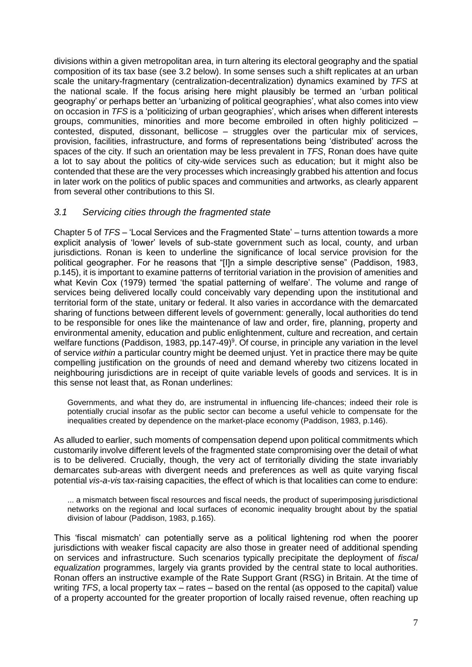divisions within a given metropolitan area, in turn altering its electoral geography and the spatial composition of its tax base (see 3.2 below). In some senses such a shift replicates at an urban scale the unitary-fragmentary (centralization-decentralization) dynamics examined by *TFS* at the national scale. If the focus arising here might plausibly be termed an 'urban political geography' or perhaps better an 'urbanizing of political geographies', what also comes into view on occasion in *TFS* is a 'politicizing of urban geographies', which arises when different interests groups, communities, minorities and more become embroiled in often highly politicized – contested, disputed, dissonant, bellicose – struggles over the particular mix of services, provision, facilities, infrastructure, and forms of representations being 'distributed' across the spaces of the city. If such an orientation may be less prevalent in *TFS*, Ronan does have quite a lot to say about the politics of city-wide services such as education; but it might also be contended that these are the very processes which increasingly grabbed his attention and focus in later work on the politics of public spaces and communities and artworks, as clearly apparent from several other contributions to this SI.

## *3.1 Servicing cities through the fragmented state*

Chapter 5 of *TFS* – 'Local Services and the Fragmented State' – turns attention towards a more explicit analysis of 'lower' levels of sub-state government such as local, county, and urban jurisdictions. Ronan is keen to underline the significance of local service provision for the political geographer. For he reasons that "[I]n a simple descriptive sense" (Paddison, 1983, p.145), it is important to examine patterns of territorial variation in the provision of amenities and what Kevin Cox (1979) termed 'the spatial patterning of welfare'. The volume and range of services being delivered locally could conceivably vary depending upon the institutional and territorial form of the state, unitary or federal. It also varies in accordance with the demarcated sharing of functions between different levels of government: generally, local authorities do tend to be responsible for ones like the maintenance of law and order, fire, planning, property and environmental amenity, education and public enlightenment, culture and recreation, and certain welfare functions (Paddison, 1983, pp.147-49)<sup>9</sup>. Of course, in principle any variation in the level of service *within* a particular country might be deemed unjust. Yet in practice there may be quite compelling justification on the grounds of need and demand whereby two citizens located in neighbouring jurisdictions are in receipt of quite variable levels of goods and services. It is in this sense not least that, as Ronan underlines:

Governments, and what they do, are instrumental in influencing life-chances; indeed their role is potentially crucial insofar as the public sector can become a useful vehicle to compensate for the inequalities created by dependence on the market-place economy (Paddison, 1983, p.146).

As alluded to earlier, such moments of compensation depend upon political commitments which customarily involve different levels of the fragmented state compromising over the detail of what is to be delivered. Crucially, though, the very act of territorially dividing the state invariably demarcates sub-areas with divergent needs and preferences as well as quite varying fiscal potential *vis-a-vis* tax-raising capacities, the effect of which is that localities can come to endure:

... a mismatch between fiscal resources and fiscal needs, the product of superimposing jurisdictional networks on the regional and local surfaces of economic inequality brought about by the spatial division of labour (Paddison, 1983, p.165).

This 'fiscal mismatch' can potentially serve as a political lightening rod when the poorer jurisdictions with weaker fiscal capacity are also those in greater need of additional spending on services and infrastructure. Such scenarios typically precipitate the deployment of *fiscal equalization* programmes, largely via grants provided by the central state to local authorities. Ronan offers an instructive example of the Rate Support Grant (RSG) in Britain. At the time of writing *TFS*, a local property tax – rates – based on the rental (as opposed to the capital) value of a property accounted for the greater proportion of locally raised revenue, often reaching up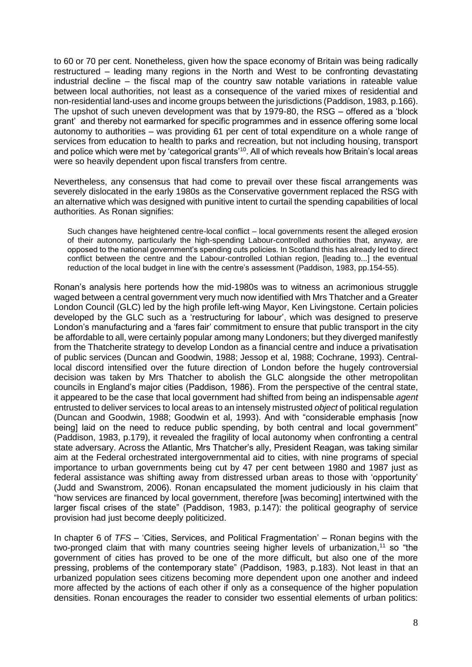to 60 or 70 per cent. Nonetheless, given how the space economy of Britain was being radically restructured – leading many regions in the North and West to be confronting devastating industrial decline – the fiscal map of the country saw notable variations in rateable value between local authorities, not least as a consequence of the varied mixes of residential and non-residential land-uses and income groups between the jurisdictions (Paddison, 1983, p.166). The upshot of such uneven development was that by 1979-80, the RSG – offered as a 'block grant' and thereby not earmarked for specific programmes and in essence offering some local autonomy to authorities – was providing 61 per cent of total expenditure on a whole range of services from education to health to parks and recreation, but not including housing, transport and police which were met by 'categorical grants'<sup>10</sup>. All of which reveals how Britain's local areas were so heavily dependent upon fiscal transfers from centre.

Nevertheless, any consensus that had come to prevail over these fiscal arrangements was severely dislocated in the early 1980s as the Conservative government replaced the RSG with an alternative which was designed with punitive intent to curtail the spending capabilities of local authorities. As Ronan signifies:

Such changes have heightened centre-local conflict – local governments resent the alleged erosion of their autonomy, particularly the high-spending Labour-controlled authorities that, anyway, are opposed to the national government's spending cuts policies. In Scotland this has already led to direct conflict between the centre and the Labour-controlled Lothian region, [leading to...] the eventual reduction of the local budget in line with the centre's assessment (Paddison, 1983, pp.154-55).

Ronan's analysis here portends how the mid-1980s was to witness an acrimonious struggle waged between a central government very much now identified with Mrs Thatcher and a Greater London Council (GLC) led by the high profile left-wing Mayor, Ken Livingstone. Certain policies developed by the GLC such as a 'restructuring for labour', which was designed to preserve London's manufacturing and a 'fares fair' commitment to ensure that public transport in the city be affordable to all, were certainly popular among many Londoners; but they diverged manifestly from the Thatcherite strategy to develop London as a financial centre and induce a privatisation of public services (Duncan and Goodwin, 1988; Jessop et al, 1988; Cochrane, 1993). Centrallocal discord intensified over the future direction of London before the hugely controversial decision was taken by Mrs Thatcher to abolish the GLC alongside the other metropolitan councils in England's major cities (Paddison, 1986). From the perspective of the central state, it appeared to be the case that local government had shifted from being an indispensable *agent* entrusted to deliver services to local areas to an intensely mistrusted *object* of political regulation (Duncan and Goodwin, 1988; Goodwin et al, 1993). And with "considerable emphasis [now being] laid on the need to reduce public spending, by both central and local government" (Paddison, 1983, p.179), it revealed the fragility of local autonomy when confronting a central state adversary. Across the Atlantic, Mrs Thatcher's ally, President Reagan, was taking similar aim at the Federal orchestrated intergovernmental aid to cities, with nine programs of special importance to urban governments being cut by 47 per cent between 1980 and 1987 just as federal assistance was shifting away from distressed urban areas to those with 'opportunity' (Judd and Swanstrom, 2006). Ronan encapsulated the moment judiciously in his claim that "how services are financed by local government, therefore [was becoming] intertwined with the larger fiscal crises of the state" (Paddison, 1983, p.147): the political geography of service provision had just become deeply politicized.

In chapter 6 of *TFS* – 'Cities, Services, and Political Fragmentation' – Ronan begins with the two-pronged claim that with many countries seeing higher levels of urbanization,<sup>11</sup> so "the government of cities has proved to be one of the more difficult, but also one of the more pressing, problems of the contemporary state" (Paddison, 1983, p.183). Not least in that an urbanized population sees citizens becoming more dependent upon one another and indeed more affected by the actions of each other if only as a consequence of the higher population densities. Ronan encourages the reader to consider two essential elements of urban politics: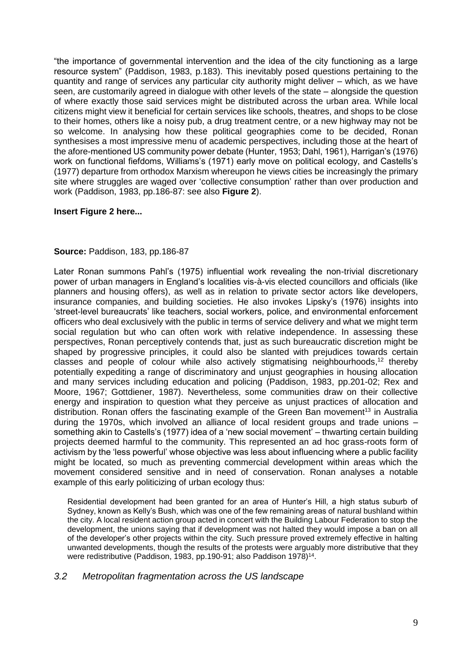"the importance of governmental intervention and the idea of the city functioning as a large resource system" (Paddison, 1983, p.183). This inevitably posed questions pertaining to the quantity and range of services any particular city authority might deliver – which, as we have seen, are customarily agreed in dialogue with other levels of the state – alongside the question of where exactly those said services might be distributed across the urban area. While local citizens might view it beneficial for certain services like schools, theatres, and shops to be close to their homes, others like a noisy pub, a drug treatment centre, or a new highway may not be so welcome. In analysing how these political geographies come to be decided, Ronan synthesises a most impressive menu of academic perspectives, including those at the heart of the afore-mentioned US community power debate (Hunter, 1953; Dahl, 1961), Harrigan's (1976) work on functional fiefdoms, Williams's (1971) early move on political ecology, and Castells's (1977) departure from orthodox Marxism whereupon he views cities be increasingly the primary site where struggles are waged over 'collective consumption' rather than over production and work (Paddison, 1983, pp.186-87: see also **Figure 2**).

## **Insert Figure 2 here...**

## **Source:** Paddison, 183, pp.186-87

Later Ronan summons Pahl's (1975) influential work revealing the non-trivial discretionary power of urban managers in England's localities vis-à-vis elected councillors and officials (like planners and housing offers), as well as in relation to private sector actors like developers, insurance companies, and building societies. He also invokes Lipsky's (1976) insights into 'street-level bureaucrats' like teachers, social workers, police, and environmental enforcement officers who deal exclusively with the public in terms of service delivery and what we might term social regulation but who can often work with relative independence. In assessing these perspectives, Ronan perceptively contends that, just as such bureaucratic discretion might be shaped by progressive principles, it could also be slanted with prejudices towards certain classes and people of colour while also actively stigmatising neighbourhoods, <sup>12</sup> thereby potentially expediting a range of discriminatory and unjust geographies in housing allocation and many services including education and policing (Paddison, 1983, pp.201-02; Rex and Moore, 1967; Gottdiener, 1987). Nevertheless, some communities draw on their collective energy and inspiration to question what they perceive as unjust practices of allocation and distribution. Ronan offers the fascinating example of the Green Ban movement<sup>13</sup> in Australia during the 1970s, which involved an alliance of local resident groups and trade unions – something akin to Castells's (1977) idea of a 'new social movement' – thwarting certain building projects deemed harmful to the community. This represented an ad hoc grass-roots form of activism by the 'less powerful' whose objective was less about influencing where a public facility might be located, so much as preventing commercial development within areas which the movement considered sensitive and in need of conservation. Ronan analyses a notable example of this early politicizing of urban ecology thus:

Residential development had been granted for an area of Hunter's Hill, a high status suburb of Sydney, known as Kelly's Bush, which was one of the few remaining areas of natural bushland within the city. A local resident action group acted in concert with the Building Labour Federation to stop the development, the unions saying that if development was not halted they would impose a ban on all of the developer's other projects within the city. Such pressure proved extremely effective in halting unwanted developments, though the results of the protests were arguably more distributive that they were redistributive (Paddison, 1983, pp.190-91; also Paddison 1978)<sup>14</sup>.

## *3.2 Metropolitan fragmentation across the US landscape*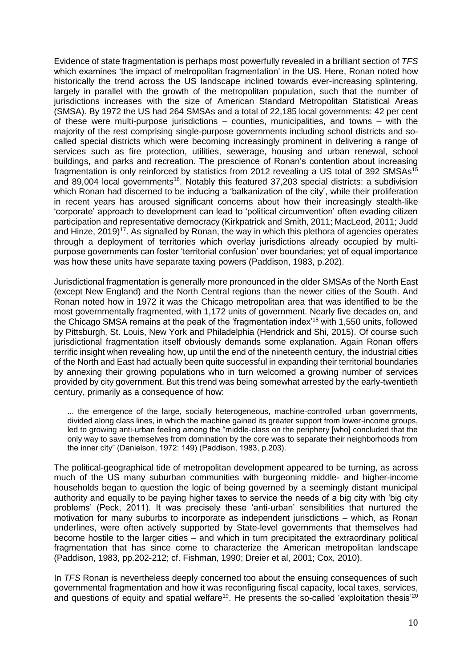Evidence of state fragmentation is perhaps most powerfully revealed in a brilliant section of *TFS*  which examines 'the impact of metropolitan fragmentation' in the US. Here, Ronan noted how historically the trend across the US landscape inclined towards ever-increasing splintering, largely in parallel with the growth of the metropolitan population, such that the number of jurisdictions increases with the size of American Standard Metropolitan Statistical Areas (SMSA). By 1972 the US had 264 SMSAs and a total of 22,185 local governments: 42 per cent of these were multi-purpose jurisdictions – counties, municipalities, and towns – with the majority of the rest comprising single-purpose governments including school districts and socalled special districts which were becoming increasingly prominent in delivering a range of services such as fire protection, utilities, sewerage, housing and urban renewal, school buildings, and parks and recreation. The prescience of Ronan's contention about increasing fragmentation is only reinforced by statistics from 2012 revealing a US total of 392 SMSAs<sup>15</sup> and 89,004 local governments<sup>16</sup>. Notably this featured 37,203 special districts: a subdivision which Ronan had discerned to be inducing a 'balkanization of the city', while their proliferation in recent years has aroused significant concerns about how their increasingly stealth-like 'corporate' approach to development can lead to 'political circumvention' often evading citizen participation and representative democracy (Kirkpatrick and Smith, 2011; MacLeod, 2011; Judd and Hinze, 2019)<sup>17</sup>. As signalled by Ronan, the way in which this plethora of agencies operates through a deployment of territories which overlay jurisdictions already occupied by multipurpose governments can foster 'territorial confusion' over boundaries; yet of equal importance was how these units have separate taxing powers (Paddison, 1983, p.202).

Jurisdictional fragmentation is generally more pronounced in the older SMSAs of the North East (except New England) and the North Central regions than the newer cities of the South. And Ronan noted how in 1972 it was the Chicago metropolitan area that was identified to be the most governmentally fragmented, with 1,172 units of government. Nearly five decades on, and the Chicago SMSA remains at the peak of the 'fragmentation index'<sup>18</sup> with 1,550 units, followed by Pittsburgh, St. Louis, New York and Philadelphia (Hendrick and Shi, 2015). Of course such jurisdictional fragmentation itself obviously demands some explanation. Again Ronan offers terrific insight when revealing how, up until the end of the nineteenth century, the industrial cities of the North and East had actually been quite successful in expanding their territorial boundaries by annexing their growing populations who in turn welcomed a growing number of services provided by city government. But this trend was being somewhat arrested by the early-twentieth century, primarily as a consequence of how:

... the emergence of the large, socially heterogeneous, machine-controlled urban governments, divided along class lines, in which the machine gained its greater support from lower-income groups, led to growing anti-urban feeling among the "middle-class on the periphery [who] concluded that the only way to save themselves from domination by the core was to separate their neighborhoods from the inner city" (Danielson, 1972: 149) (Paddison, 1983, p.203).

The political-geographical tide of metropolitan development appeared to be turning, as across much of the US many suburban communities with burgeoning middle- and higher-income households began to question the logic of being governed by a seemingly distant municipal authority and equally to be paying higher taxes to service the needs of a big city with 'big city problems' (Peck, 2011). It was precisely these 'anti-urban' sensibilities that nurtured the motivation for many suburbs to incorporate as independent jurisdictions – which, as Ronan underlines, were often actively supported by State-level governments that themselves had become hostile to the larger cities – and which in turn precipitated the extraordinary political fragmentation that has since come to characterize the American metropolitan landscape (Paddison, 1983, pp.202-212; cf. Fishman, 1990; Dreier et al, 2001; Cox, 2010).

In *TFS* Ronan is nevertheless deeply concerned too about the ensuing consequences of such governmental fragmentation and how it was reconfiguring fiscal capacity, local taxes, services, and questions of equity and spatial welfare<sup>19</sup>. He presents the so-called 'exploitation thesis'<sup>20</sup>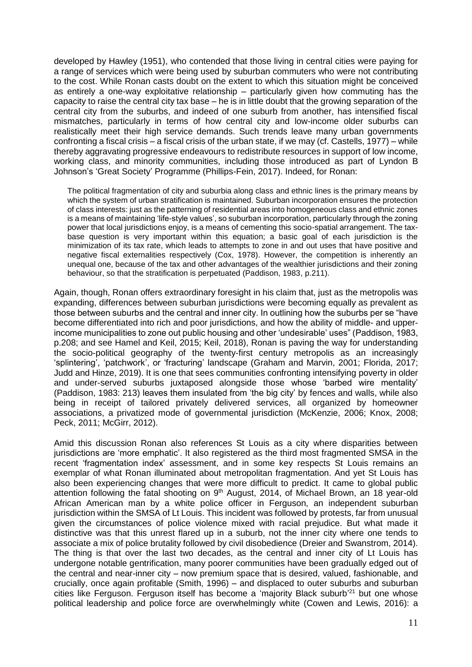developed by Hawley (1951), who contended that those living in central cities were paying for a range of services which were being used by suburban commuters who were not contributing to the cost. While Ronan casts doubt on the extent to which this situation might be conceived as entirely a one-way exploitative relationship – particularly given how commuting has the capacity to raise the central city tax base – he is in little doubt that the growing separation of the central city from the suburbs, and indeed of one suburb from another, has intensified fiscal mismatches, particularly in terms of how central city and low-income older suburbs can realistically meet their high service demands. Such trends leave many urban governments confronting a fiscal crisis – a fiscal crisis of the urban state, if we may (cf. Castells, 1977) – while thereby aggravating progressive endeavours to redistribute resources in support of low income, working class, and minority communities, including those introduced as part of Lyndon B Johnson's 'Great Society' Programme (Phillips-Fein, 2017). Indeed, for Ronan:

The political fragmentation of city and suburbia along class and ethnic lines is the primary means by which the system of urban stratification is maintained. Suburban incorporation ensures the protection of class interests: just as the patterning of residential areas into homogeneous class and ethnic zones is a means of maintaining 'life-style values', so suburban incorporation, particularly through the zoning power that local jurisdictions enjoy, is a means of cementing this socio-spatial arrangement. The taxbase question is very important within this equation; a basic goal of each jurisdiction is the minimization of its tax rate, which leads to attempts to zone in and out uses that have positive and negative fiscal externalities respectively (Cox, 1978). However, the competition is inherently an unequal one, because of the tax and other advantages of the wealthier jurisdictions and their zoning behaviour, so that the stratification is perpetuated (Paddison, 1983, p.211).

Again, though, Ronan offers extraordinary foresight in his claim that, just as the metropolis was expanding, differences between suburban jurisdictions were becoming equally as prevalent as those between suburbs and the central and inner city. In outlining how the suburbs per se "have become differentiated into rich and poor jurisdictions, and how the ability of middle- and upperincome municipalities to zone out public housing and other 'undesirable' uses" (Paddison, 1983, p.208; and see Hamel and Keil, 2015; Keil, 2018), Ronan is paving the way for understanding the socio-political geography of the twenty-first century metropolis as an increasingly 'splintering', 'patchwork', or 'fracturing' landscape (Graham and Marvin, 2001; Florida, 2017; Judd and Hinze, 2019). It is one that sees communities confronting intensifying poverty in older and under-served suburbs juxtaposed alongside those whose 'barbed wire mentality' (Paddison, 1983: 213) leaves them insulated from 'the big city' by fences and walls, while also being in receipt of tailored privately delivered services, all organized by homeowner associations, a privatized mode of governmental jurisdiction (McKenzie, 2006; Knox, 2008; Peck, 2011; McGirr, 2012).

Amid this discussion Ronan also references St Louis as a city where disparities between jurisdictions are 'more emphatic'. It also registered as the third most fragmented SMSA in the recent 'fragmentation index' assessment, and in some key respects St Louis remains an exemplar of what Ronan illuminated about metropolitan fragmentation. And yet St Louis has also been experiencing changes that were more difficult to predict. It came to global public attention following the fatal shooting on 9<sup>th</sup> August, 2014, of Michael Brown, an 18 year-old African American man by a white police officer in Ferguson, an independent suburban jurisdiction within the SMSA of Lt Louis. This incident was followed by protests, far from unusual given the circumstances of police violence mixed with racial prejudice. But what made it distinctive was that this unrest flared up in a suburb, not the inner city where one tends to associate a mix of police brutality followed by civil disobedience (Dreier and Swanstrom, 2014). The thing is that over the last two decades, as the central and inner city of Lt Louis has undergone notable gentrification, many poorer communities have been gradually edged out of the central and near-inner city – now premium space that is desired, valued, fashionable, and crucially, once again profitable (Smith, 1996) – and displaced to outer suburbs and suburban cities like Ferguson. Ferguson itself has become a 'majority Black suburb'<sup>21</sup> but one whose political leadership and police force are overwhelmingly white (Cowen and Lewis, 2016): a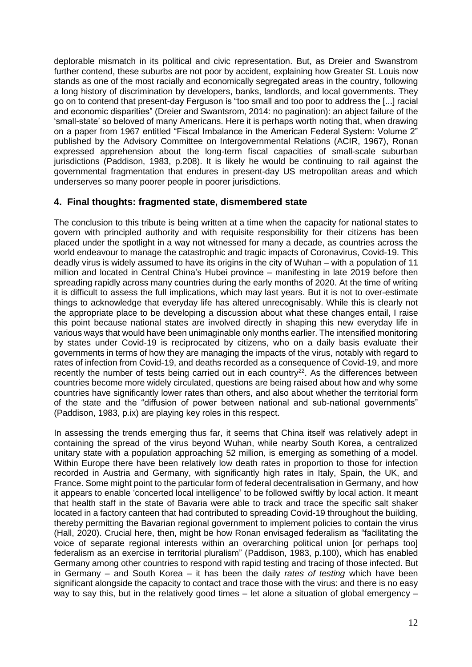deplorable mismatch in its political and civic representation. But, as Dreier and Swanstrom further contend, these suburbs are not poor by accident, explaining how Greater St. Louis now stands as one of the most racially and economically segregated areas in the country, following a long history of discrimination by developers, banks, landlords, and local governments. They go on to contend that present-day Ferguson is "too small and too poor to address the [...] racial and economic disparities" (Dreier and Swantsrom, 2014: no pagination): an abject failure of the 'small-state' so beloved of many Americans. Here it is perhaps worth noting that, when drawing on a paper from 1967 entitled "Fiscal Imbalance in the American Federal System: Volume 2" published by the Advisory Committee on Intergovernmental Relations (ACIR, 1967), Ronan expressed apprehension about the long-term fiscal capacities of small-scale suburban jurisdictions (Paddison, 1983, p.208). It is likely he would be continuing to rail against the governmental fragmentation that endures in present-day US metropolitan areas and which underserves so many poorer people in poorer jurisdictions.

## **4. Final thoughts: fragmented state, dismembered state**

The conclusion to this tribute is being written at a time when the capacity for national states to govern with principled authority and with requisite responsibility for their citizens has been placed under the spotlight in a way not witnessed for many a decade, as countries across the world endeavour to manage the catastrophic and tragic impacts of Coronavirus, Covid-19. This deadly virus is widely assumed to have its origins in the city of Wuhan – with a population of 11 million and located in Central China's Hubei province – manifesting in late 2019 before then spreading rapidly across many countries during the early months of 2020. At the time of writing it is difficult to assess the full implications, which may last years. But it is not to over-estimate things to acknowledge that everyday life has altered unrecognisably. While this is clearly not the appropriate place to be developing a discussion about what these changes entail, I raise this point because national states are involved directly in shaping this new everyday life in various ways that would have been unimaginable only months earlier. The intensified monitoring by states under Covid-19 is reciprocated by citizens, who on a daily basis evaluate their governments in terms of how they are managing the impacts of the virus, notably with regard to rates of infection from Covid-19, and deaths recorded as a consequence of Covid-19, and more recently the number of tests being carried out in each country $22$ . As the differences between countries become more widely circulated, questions are being raised about how and why some countries have significantly lower rates than others, and also about whether the territorial form of the state and the "diffusion of power between national and sub-national governments" (Paddison, 1983, p.ix) are playing key roles in this respect.

In assessing the trends emerging thus far, it seems that China itself was relatively adept in containing the spread of the virus beyond Wuhan, while nearby South Korea, a centralized unitary state with a population approaching 52 million, is emerging as something of a model. Within Europe there have been relatively low death rates in proportion to those for infection recorded in Austria and Germany, with significantly high rates in Italy, Spain, the UK, and France. Some might point to the particular form of federal decentralisation in Germany, and how it appears to enable 'concerted local intelligence' to be followed swiftly by local action. It meant that health staff in the state of Bavaria were able to track and trace the specific salt shaker located in a factory canteen that had contributed to spreading Covid-19 throughout the building, thereby permitting the Bavarian regional government to implement policies to contain the virus (Hall, 2020). Crucial here, then, might be how Ronan envisaged federalism as "facilitating the voice of separate regional interests within an overarching political union [or perhaps too] federalism as an exercise in territorial pluralism" (Paddison, 1983, p.100), which has enabled Germany among other countries to respond with rapid testing and tracing of those infected. But in Germany – and South Korea – it has been the daily *rates of testing* which have been significant alongside the capacity to contact and trace those with the virus: and there is no easy way to say this, but in the relatively good times – let alone a situation of global emergency –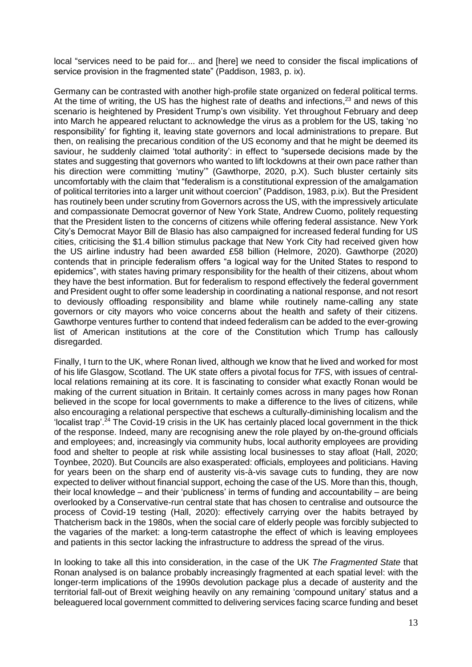local "services need to be paid for... and [here] we need to consider the fiscal implications of service provision in the fragmented state" (Paddison, 1983, p. ix).

Germany can be contrasted with another high-profile state organized on federal political terms. At the time of writing, the US has the highest rate of deaths and infections,<sup>23</sup> and news of this scenario is heightened by President Trump's own visibility. Yet throughout February and deep into March he appeared reluctant to acknowledge the virus as a problem for the US, taking 'no responsibility' for fighting it, leaving state governors and local administrations to prepare. But then, on realising the precarious condition of the US economy and that he might be deemed its saviour, he suddenly claimed 'total authority': in effect to "supersede decisions made by the states and suggesting that governors who wanted to lift lockdowns at their own pace rather than his direction were committing 'mutiny'" (Gawthorpe, 2020, p.X). Such bluster certainly sits uncomfortably with the claim that "federalism is a constitutional expression of the amalgamation of political territories into a larger unit without coercion" (Paddison, 1983, p.ix). But the President has routinely been under scrutiny from Governors across the US, with the impressively articulate and compassionate Democrat governor of New York State, Andrew Cuomo, politely requesting that the President listen to the concerns of citizens while offering federal assistance. New York City's Democrat Mayor Bill de Blasio has also campaigned for increased federal funding for US cities, criticising the \$1.4 billion stimulus package that New York City had received given how the US airline industry had been awarded £58 billion (Helmore, 2020). Gawthorpe (2020) contends that in principle federalism offers "a logical way for the United States to respond to epidemics", with states having primary responsibility for the health of their citizens, about whom they have the best information. But for federalism to respond effectively the federal government and President ought to offer some leadership in coordinating a national response, and not resort to deviously offloading responsibility and blame while routinely name-calling any state governors or city mayors who voice concerns about the health and safety of their citizens. Gawthorpe ventures further to contend that indeed federalism can be added to the ever-growing list of American institutions at the core of the Constitution which Trump has callously disregarded.

Finally, I turn to the UK, where Ronan lived, although we know that he lived and worked for most of his life Glasgow, Scotland. The UK state offers a pivotal focus for *TFS*, with issues of centrallocal relations remaining at its core. It is fascinating to consider what exactly Ronan would be making of the current situation in Britain. It certainly comes across in many pages how Ronan believed in the scope for local governments to make a difference to the lives of citizens, while also encouraging a relational perspective that eschews a culturally-diminishing localism and the 'localist trap'.<sup>24</sup> The Covid-19 crisis in the UK has certainly placed local government in the thick of the response. Indeed, many are recognising anew the role played by on-the-ground officials and employees; and, increasingly via community hubs, local authority employees are providing food and shelter to people at risk while assisting local businesses to stay afloat (Hall, 2020; Toynbee, 2020). But Councils are also exasperated: officials, employees and politicians. Having for years been on the sharp end of austerity vis-à-vis savage cuts to funding, they are now expected to deliver without financial support, echoing the case of the US. More than this, though, their local knowledge – and their 'publicness' in terms of funding and accountability – are being overlooked by a Conservative-run central state that has chosen to centralise and outsource the process of Covid-19 testing (Hall, 2020): effectively carrying over the habits betrayed by Thatcherism back in the 1980s, when the social care of elderly people was forcibly subjected to the vagaries of the market: a long-term catastrophe the effect of which is leaving employees and patients in this sector lacking the infrastructure to address the spread of the virus.

In looking to take all this into consideration, in the case of the UK *The Fragmented State* that Ronan analysed is on balance probably increasingly fragmented at each spatial level: with the longer-term implications of the 1990s devolution package plus a decade of austerity and the territorial fall-out of Brexit weighing heavily on any remaining 'compound unitary' status and a beleaguered local government committed to delivering services facing scarce funding and beset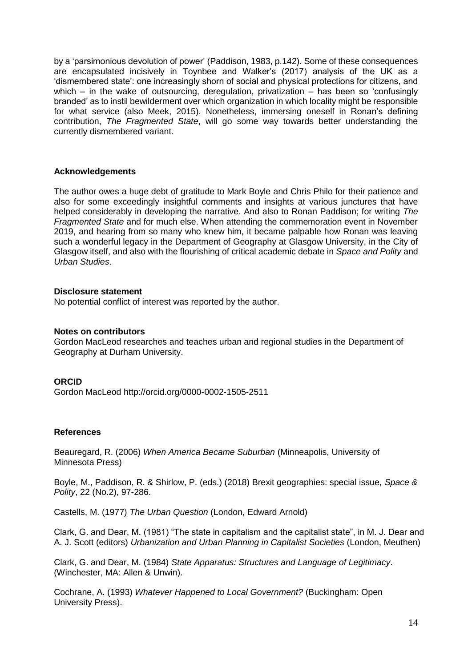by a 'parsimonious devolution of power' (Paddison, 1983, p.142). Some of these consequences are encapsulated incisively in Toynbee and Walker's (2017) analysis of the UK as a 'dismembered state': one increasingly shorn of social and physical protections for citizens, and which – in the wake of outsourcing, deregulation, privatization – has been so 'confusingly branded' as to instil bewilderment over which organization in which locality might be responsible for what service (also Meek, 2015). Nonetheless, immersing oneself in Ronan's defining contribution, *The Fragmented State*, will go some way towards better understanding the currently dismembered variant.

### **Acknowledgements**

The author owes a huge debt of gratitude to Mark Boyle and Chris Philo for their patience and also for some exceedingly insightful comments and insights at various junctures that have helped considerably in developing the narrative. And also to Ronan Paddison; for writing *The Fragmented State* and for much else. When attending the commemoration event in November 2019, and hearing from so many who knew him, it became palpable how Ronan was leaving such a wonderful legacy in the Department of Geography at Glasgow University, in the City of Glasgow itself, and also with the flourishing of critical academic debate in *Space and Polity* and *Urban Studies*.

### **Disclosure statement**

No potential conflict of interest was reported by the author.

### **Notes on contributors**

Gordon MacLeod researches and teaches urban and regional studies in the Department of Geography at Durham University.

### **ORCID**

Gordon MacLeod http://orcid.org/0000-0002-1505-2511

### **References**

Beauregard, R. (2006) *When America Became Suburban* (Minneapolis, University of Minnesota Press)

Boyle, M., Paddison, R. & Shirlow, P. (eds.) (2018) Brexit geographies: special issue, *Space & Polity*, 22 (No.2), 97-286.

Castells, M. (1977) *The Urban Question* (London, Edward Arnold)

Clark, G. and Dear, M. (1981) "The state in capitalism and the capitalist state", in M. J. Dear and A. J. Scott (editors) *Urbanization and Urban Planning in Capitalist Societies* (London, Meuthen)

Clark, G. and Dear, M. (1984) *State Apparatus: Structures and Language of Legitimacy*. (Winchester, MA: Allen & Unwin).

Cochrane, A. (1993) *Whatever Happened to Local Government?* (Buckingham: Open University Press).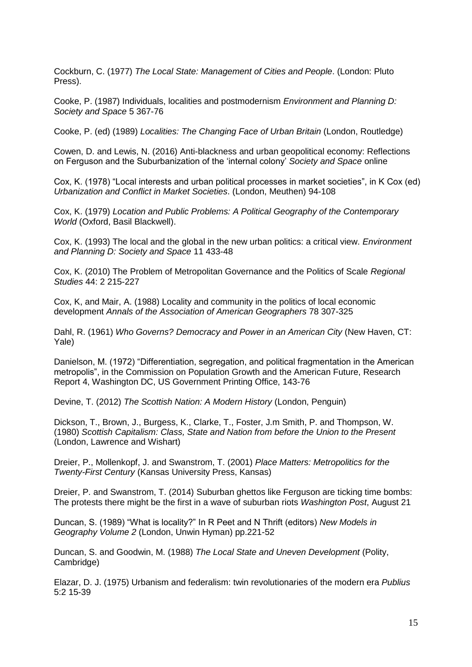Cockburn, C. (1977) *The Local State: Management of Cities and People*. (London: Pluto Press).

Cooke, P. (1987) Individuals, localities and postmodernism *Environment and Planning D: Society and Space* 5 367-76

Cooke, P. (ed) (1989) *Localities: The Changing Face of Urban Britain* (London, Routledge)

Cowen, D. and Lewis, N. (2016) Anti-blackness and urban geopolitical economy: Reflections on Ferguson and the Suburbanization of the 'internal colony' *Society and Space* online

Cox, K. (1978) "Local interests and urban political processes in market societies", in K Cox (ed) *Urbanization and Conflict in Market Societies*. (London, Meuthen) 94-108

Cox, K. (1979) *Location and Public Problems: A Political Geography of the Contemporary World* (Oxford, Basil Blackwell).

Cox, K. (1993) The local and the global in the new urban politics: a critical view. *Environment and Planning D: Society and Space* 11 433-48

Cox, K. (2010) The Problem of Metropolitan Governance and the Politics of Scale *Regional Studies* 44: 2 215-227

Cox, K, and Mair, A. (1988) Locality and community in the politics of local economic development *Annals of the Association of American Geographers* 78 307-325

Dahl, R. (1961) *Who Governs? Democracy and Power in an American City* (New Haven, CT: Yale)

Danielson, M. (1972) "Differentiation, segregation, and political fragmentation in the American metropolis", in the Commission on Population Growth and the American Future, Research Report 4, Washington DC, US Government Printing Office, 143-76

Devine, T. (2012) *The Scottish Nation: A Modern History* (London, Penguin)

Dickson, T., Brown, J., Burgess, K., Clarke, T., Foster, J.m Smith, P. and Thompson, W. (1980) *Scottish Capitalism: Class, State and Nation from before the Union to the Present* (London, Lawrence and Wishart)

Dreier, P., Mollenkopf, J. and Swanstrom, T. (2001) *Place Matters: Metropolitics for the Twenty-First Century* (Kansas University Press, Kansas)

Dreier, P. and Swanstrom, T. (2014) Suburban ghettos like Ferguson are ticking time bombs: The protests there might be the first in a wave of suburban riots *Washington Post*, August 21

Duncan, S. (1989) "What is locality?" In R Peet and N Thrift (editors) *New Models in Geography Volume 2* (London, Unwin Hyman) pp.221-52

Duncan, S. and Goodwin, M. (1988) *The Local State and Uneven Development* (Polity, Cambridge)

Elazar, D. J. (1975) Urbanism and federalism: twin revolutionaries of the modern era *Publius* 5:2 15-39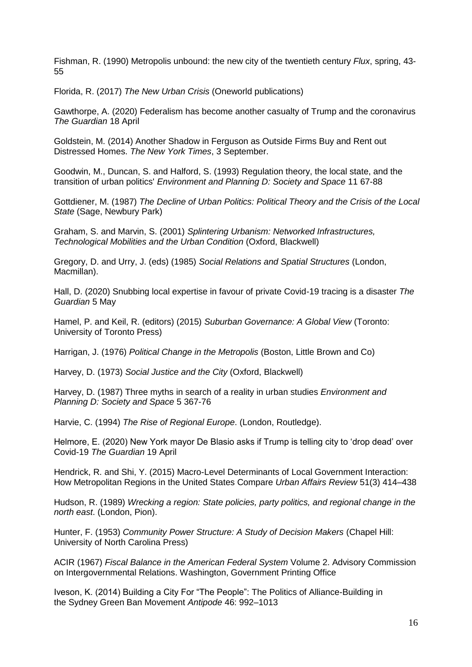Fishman, R. (1990) Metropolis unbound: the new city of the twentieth century *Flux*, spring, 43- 55

Florida, R. (2017) *The New Urban Crisis* (Oneworld publications)

[Gawthorpe,](https://www.theguardian.com/profile/andrew-gawthorpe) A. (2020) Federalism has become another casualty of Trump and the coronavirus *The Guardian* 18 April

Goldstein, M. (2014) [Another Shadow in Ferguson as Outside Firms Buy and Rent out](http://dealbook.nytimes.com/2014/09/03/another-shadow-in-ferguson-as-outside-firms-buy-and-rent-out-distressed-homes/?_r=0)  [Distressed Homes.](http://dealbook.nytimes.com/2014/09/03/another-shadow-in-ferguson-as-outside-firms-buy-and-rent-out-distressed-homes/?_r=0) *The New York Times*, 3 September.

Goodwin, M., Duncan, S. and Halford, S. (1993) Regulation theory, the local state, and the transition of urban politics' *Environment and Planning D: Society and Space* 11 67-88

Gottdiener, M. (1987) *The Decline of Urban Politics: Political Theory and the Crisis of the Local State* (Sage, Newbury Park)

Graham, S. and Marvin, S. (2001) *Splintering Urbanism: Networked Infrastructures, Technological Mobilities and the Urban Condition* (Oxford, Blackwell)

Gregory, D. and Urry, J. (eds) (1985) *Social Relations and Spatial Structures* (London, Macmillan).

Hall, D. (2020) Snubbing local expertise in favour of private Covid-19 tracing is a disaster *The Guardian* 5 May

Hamel, P. and Keil, R. (editors) (2015) *Suburban Governance: A Global View* (Toronto: University of Toronto Press)

Harrigan, J. (1976) *Political Change in the Metropolis* (Boston, Little Brown and Co)

Harvey, D. (1973) *Social Justice and the City* (Oxford, Blackwell)

Harvey, D. (1987) Three myths in search of a reality in urban studies *Environment and Planning D: Society and Space* 5 367-76

Harvie, C. (1994) *The Rise of Regional Europe*. (London, Routledge).

Helmore, E. (2020) New York mayor De Blasio asks if Trump is telling city to 'drop dead' over Covid-19 *The Guardian* 19 April

Hendrick, R. and Shi, Y. (2015) Macro-Level Determinants of Local Government Interaction: How Metropolitan Regions in the United States Compare *Urban Affairs Review* 51(3) 414–438

Hudson, R. (1989) *Wrecking a region: State policies, party politics, and regional change in the north east*. (London, Pion).

Hunter, F. (1953) *Community Power Structure: A Study of Decision Makers* (Chapel Hill: University of North Carolina Press)

ACIR (1967) *Fiscal Balance in the American Federal System* Volume 2. Advisory Commission on Intergovernmental Relations. Washington, Government Printing Office

Iveson, K. (2014) Building a City For "The People": The Politics of Alliance-Building in the Sydney Green Ban Movement *Antipode* 46: 992–1013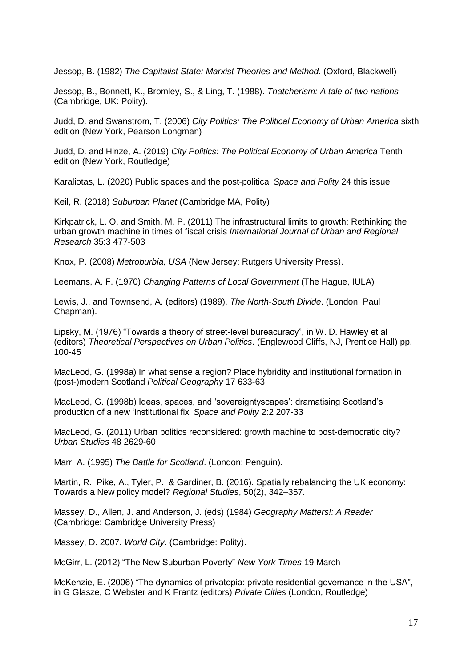Jessop, B. (1982) *The Capitalist State: Marxist Theories and Method*. (Oxford, Blackwell)

Jessop, B., Bonnett, K., Bromley, S., & Ling, T. (1988). *Thatcherism: A tale of two nations* (Cambridge, UK: Polity).

Judd, D. and Swanstrom, T. (2006) *City Politics: The Political Economy of Urban America* sixth edition (New York, Pearson Longman)

Judd, D. and Hinze, A. (2019) *City Politics: The Political Economy of Urban America* Tenth edition (New York, Routledge)

Karaliotas, L. (2020) Public spaces and the post-political *Space and Polity* 24 this issue

Keil, R. (2018) *Suburban Planet* (Cambridge MA, Polity)

Kirkpatrick, L. O. and Smith, M. P. (2011) The infrastructural limits to growth: Rethinking the urban growth machine in times of fiscal crisis *International Journal of Urban and Regional Research* 35:3 477-503

Knox, P. (2008) *Metroburbia, USA* (New Jersey: Rutgers University Press).

Leemans, A. F. (1970) *Changing Patterns of Local Government* (The Hague, IULA)

Lewis, J., and Townsend, A. (editors) (1989). *The North-South Divide*. (London: Paul Chapman).

Lipsky, M. (1976) "Towards a theory of street-level bureacuracy", in W. D. Hawley et al (editors) *Theoretical Perspectives on Urban Politics*. (Englewood Cliffs, NJ, Prentice Hall) pp. 100-45

MacLeod, G. (1998a) In what sense a region? Place hybridity and institutional formation in (post-)modern Scotland *Political Geography* 17 633-63

MacLeod, G. (1998b) Ideas, spaces, and 'sovereigntyscapes': dramatising Scotland's production of a new 'institutional fix' *Space and Polity* 2:2 207-33

MacLeod, G. (2011) Urban politics reconsidered: growth machine to post-democratic city? *Urban Studies* 48 2629-60

Marr, A. (1995) *The Battle for Scotland*. (London: Penguin).

Martin, R., Pike, A., Tyler, P., & Gardiner, B. (2016). Spatially rebalancing the UK economy: Towards a New policy model? *Regional Studies*, 50(2), 342–357.

Massey, D., Allen, J. and Anderson, J. (eds) (1984) *Geography Matters!: A Reader* (Cambridge: Cambridge University Press)

Massey, D. 2007. *World City*. (Cambridge: Polity).

McGirr, L. (2012) "The New Suburban Poverty" *New York Times* 19 March

McKenzie, E. (2006) "The dynamics of privatopia: private residential governance in the USA", in G Glasze, C Webster and K Frantz (editors) *Private Cities* (London, Routledge)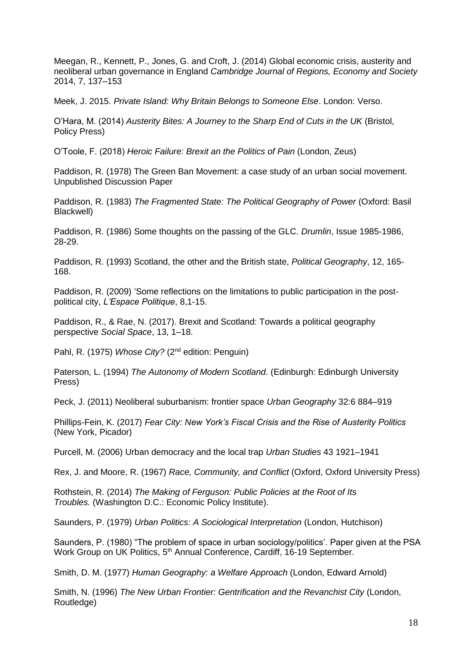Meegan, R., Kennett, P., Jones, G. and Croft, J. (2014) Global economic crisis, austerity and neoliberal urban governance in England *Cambridge Journal of Regions, Economy and Society*  2014, 7, 137–153

Meek, J. 2015. *Private Island: Why Britain Belongs to Someone Else*. London: Verso.

O'Hara, M. (2014) *Austerity Bites: A Journey to the Sharp End of Cuts in the UK* (Bristol, Policy Press)

O'Toole, F. (2018) *Heroic Failure: Brexit an the Politics of Pain* (London, Zeus)

Paddison, R. (1978) The Green Ban Movement: a case study of an urban social movement. Unpublished Discussion Paper

Paddison, R. (1983) *The Fragmented State: The Political Geography of Power* (Oxford: Basil Blackwell)

Paddison, R. (1986) Some thoughts on the passing of the GLC. *Drumlin*, Issue 1985-1986, 28-29.

Paddison, R. (1993) Scotland, the other and the British state, *Political Geography*, 12, 165- 168.

Paddison, R. (2009) 'Some reflections on the limitations to public participation in the postpolitical city, *L'Espace Politique*, 8,1-15.

Paddison, R., & Rae, N. (2017). Brexit and Scotland: Towards a political geography perspective *Social Space*, 13, 1–18.

Pahl, R. (1975) *Whose City?* (2nd edition: Penguin)

Paterson, L. (1994) *The Autonomy of Modern Scotland*. (Edinburgh: Edinburgh University Press)

Peck, J. (2011) Neoliberal suburbanism: frontier space *Urban Geography* 32:6 884–919

Phillips-Fein, K. (2017) *Fear City: New York's Fiscal Crisis and the Rise of Austerity Politics* (New York, Picador)

Purcell, M. (2006) Urban democracy and the local trap *Urban Studies* 43 1921–1941

Rex, J. and Moore, R. (1967) *Race, Community, and Conflict* (Oxford, Oxford University Press)

Rothstein, R. (2014) *The Making of [Ferguson:](http://www.epi.org/files/2014/making-of-ferguson-final.pdf) Public Policies at the Root of Its [Troubles.](http://www.epi.org/files/2014/making-of-ferguson-final.pdf)* (Washington D.C.: Economic Policy Institute).

Saunders, P. (1979) *Urban Politics: A Sociological Interpretation* (London, Hutchison)

Saunders, P. (1980) "The problem of space in urban sociology/politics'. Paper given at the PSA Work Group on UK Politics, 5<sup>th</sup> Annual Conference, Cardiff, 16-19 September.

Smith, D. M. (1977) *Human Geography: a Welfare Approach* (London, Edward Arnold)

Smith, N. (1996) *The New Urban Frontier: Gentrification and the Revanchist City* (London, Routledge)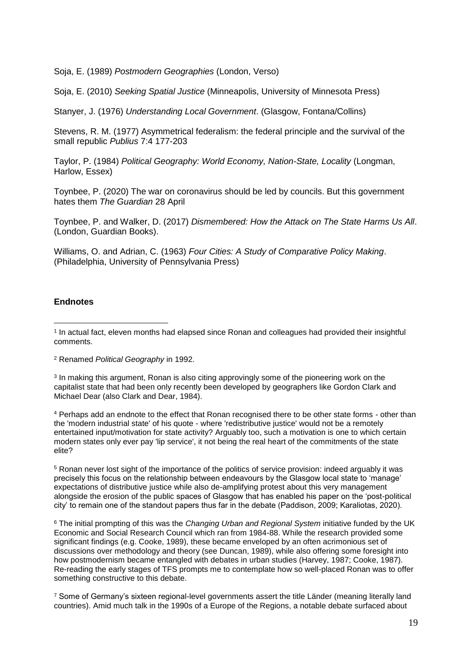Soja, E. (1989) *Postmodern Geographies* (London, Verso)

Soja, E. (2010) *Seeking Spatial Justice* (Minneapolis, University of Minnesota Press)

Stanyer, J. (1976) *Understanding Local Government*. (Glasgow, Fontana/Collins)

Stevens, R. M. (1977) Asymmetrical federalism: the federal principle and the survival of the small republic *Publius* 7:4 177-203

Taylor, P. (1984) *Political Geography: World Economy, Nation-State, Locality* (Longman, Harlow, Essex)

[Toynbee,](https://www.theguardian.com/profile/pollytoynbee) P. (2020) The war on coronavirus should be led by councils. But this government hates them *The Guardian* 28 April

Toynbee, P. and Walker, D. (2017) *Dismembered: How the Attack on The State Harms Us All*. (London, Guardian Books).

Williams, O. and Adrian, C. (1963) *Four Cities: A Study of Comparative Policy Making*. (Philadelphia, University of Pennsylvania Press)

## **Endnotes**

 $\overline{a}$ 

<sup>2</sup> Renamed *Political Geography* in 1992.

<sup>3</sup> In making this argument, Ronan is also citing approvingly some of the pioneering work on the capitalist state that had been only recently been developed by geographers like Gordon Clark and Michael Dear (also Clark and Dear, 1984).

<sup>4</sup> Perhaps add an endnote to the effect that Ronan recognised there to be other state forms - other than the 'modern industrial state' of his quote - where 'redistributive justice' would not be a remotely entertained input/motivation for state activity? Arguably too, such a motivation is one to which certain modern states only ever pay 'lip service', it not being the real heart of the commitments of the state elite?

<sup>5</sup> Ronan never lost sight of the importance of the politics of service provision: indeed arguably it was precisely this focus on the relationship between endeavours by the Glasgow local state to 'manage' expectations of distributive justice while also de-amplifying protest about this very management alongside the erosion of the public spaces of Glasgow that has enabled his paper on the 'post-political city' to remain one of the standout papers thus far in the debate (Paddison, 2009; Karaliotas, 2020).

<sup>6</sup> The initial prompting of this was the *Changing Urban and Regional System* initiative funded by the UK Economic and Social Research Council which ran from 1984-88. While the research provided some significant findings (e.g. Cooke, 1989), these became enveloped by an often acrimonious set of discussions over methodology and theory (see Duncan, 1989), while also offering some foresight into how postmodernism became entangled with debates in urban studies (Harvey, 1987; Cooke, 1987). Re-reading the early stages of TFS prompts me to contemplate how so well-placed Ronan was to offer something constructive to this debate.

<sup>7</sup> Some of Germany's sixteen regional-level governments assert the title Länder (meaning literally land countries). Amid much talk in the 1990s of a Europe of the Regions, a notable debate surfaced about

<sup>1</sup> In actual fact, eleven months had elapsed since Ronan and colleagues had provided their insightful comments.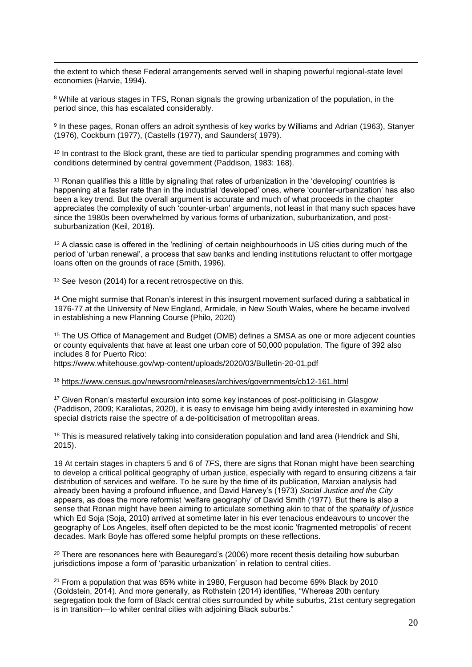the extent to which these Federal arrangements served well in shaping powerful regional-state level economies (Harvie, 1994).

<sup>8</sup> While at various stages in TFS, Ronan signals the growing urbanization of the population, in the period since, this has escalated considerably.

9 In these pages, Ronan offers an adroit synthesis of key works by Williams and Adrian (1963), Stanyer (1976), Cockburn (1977), (Castells (1977), and Saunders( 1979).

<sup>10</sup> In contrast to the Block grant, these are tied to particular spending programmes and coming with conditions determined by central government (Paddison, 1983: 168).

<sup>11</sup> Ronan qualifies this a little by signaling that rates of urbanization in the 'developing' countries is happening at a faster rate than in the industrial 'developed' ones, where 'counter-urbanization' has also been a key trend. But the overall argument is accurate and much of what proceeds in the chapter appreciates the complexity of such 'counter-urban' arguments, not least in that many such spaces have since the 1980s been overwhelmed by various forms of urbanization, suburbanization, and postsuburbanization (Keil, 2018).

<sup>12</sup> A classic case is offered in the 'redlining' of certain neighbourhoods in US cities during much of the period of 'urban renewal', a process that saw banks and lending institutions reluctant to offer mortgage loans often on the grounds of race (Smith, 1996).

<sup>13</sup> See Iveson (2014) for a recent retrospective on this.

 $\overline{a}$ 

<sup>14</sup> One might surmise that Ronan's interest in this insurgent movement surfaced during a sabbatical in 1976-77 at the University of New England, Armidale, in New South Wales, where he became involved in establishing a new Planning Course (Philo, 2020)

<sup>15</sup> The US Office of Management and Budget (OMB) defines a SMSA as one or more adjecent counties or county equivalents that have at least one urban core of 50,000 population. The figure of 392 also includes 8 for Puerto Rico:

<https://www.whitehouse.gov/wp-content/uploads/2020/03/Bulletin-20-01.pdf>

<sup>16</sup> <https://www.census.gov/newsroom/releases/archives/governments/cb12-161.html>

<sup>17</sup> Given Ronan's masterful excursion into some key instances of post-politicising in Glasgow (Paddison, 2009; Karaliotas, 2020), it is easy to envisage him being avidly interested in examining how special districts raise the spectre of a de-politicisation of metropolitan areas.

<sup>18</sup> This is measured relatively taking into consideration population and land area (Hendrick and Shi, 2015).

19 At certain stages in chapters 5 and 6 of *TFS*, there are signs that Ronan might have been searching to develop a critical political geography of urban justice, especially with regard to ensuring citizens a fair distribution of services and welfare. To be sure by the time of its publication, Marxian analysis had already been having a profound influence, and David Harvey's (1973) *Social Justice and the City* appears, as does the more reformist 'welfare geography' of David Smith (1977). But there is also a sense that Ronan might have been aiming to articulate something akin to that of the *spatiality of justice* which Ed Soja (Soja, 2010) arrived at sometime later in his ever tenacious endeavours to uncover the geography of Los Angeles, itself often depicted to be the most iconic 'fragmented metropolis' of recent decades. Mark Boyle has offered some helpful prompts on these reflections.

 $20$  There are resonances here with Beauregard's (2006) more recent thesis detailing how suburban jurisdictions impose a form of 'parasitic urbanization' in relation to central cities.

 $21$  From a population that was 85% white in 1980, Ferguson had become 69% Black by 2010 (Goldstein, 2014). And more generally, as Rothstein (2014) identifies, "Whereas 20th century segregation took the form of Black central cities surrounded by white suburbs, 21st century segregation is in transition—to whiter central cities with adjoining Black suburbs."